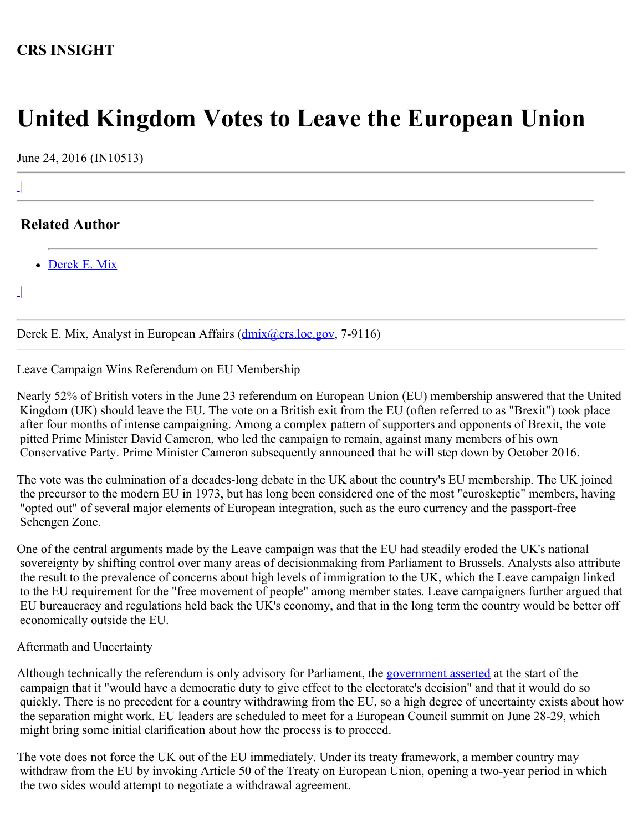## **CRS INSIGHT**

# **United Kingdom Votes to Leave the European Union**

June 24, 2016 (IN10513)

## **Related Author**

• [Derek E. Mix](http://www.crs.gov/Author/index?id=101275)

 $\overline{\phantom{a}}$ |

|

 $\perp$ 

Derek E. Mix, Analyst in European Affairs (*dmix@crs.loc.gov*, 7-9116)

Leave Campaign Wins Referendum on EU Membership

Nearly 52% of British voters in the June 23 referendum on European Union (EU) membership answered that the United Kingdom (UK) should leave the EU. The vote on a British exit from the EU (often referred to as "Brexit") took place after four months of intense campaigning. Among a complex pattern of supporters and opponents of Brexit, the vote pitted Prime Minister David Cameron, who led the campaign to remain, against many members of his own Conservative Party. Prime Minister Cameron subsequently announced that he will step down by October 2016.

The vote was the culmination of a decades-long debate in the UK about the country's EU membership. The UK joined the precursor to the modern EU in 1973, but has long been considered one of the most "euroskeptic" members, having "opted out" of several major elements of European integration, such as the euro currency and the passport-free Schengen Zone.

One of the central arguments made by the Leave campaign was that the EU had steadily eroded the UK's national sovereignty by shifting control over many areas of decisionmaking from Parliament to Brussels. Analysts also attribute the result to the prevalence of concerns about high levels of immigration to the UK, which the Leave campaign linked to the EU requirement for the "free movement of people" among member states. Leave campaigners further argued that EU bureaucracy and regulations held back the UK's economy, and that in the long term the country would be better off economically outside the EU.

### Aftermath and Uncertainty

Although technically the referendum is only advisory for Parliament, the [government asserted](https://www.gov.uk/government/uploads/system/uploads/attachment_data/file/504216/The_process_for_withdrawing_from_the_EU_print_ready.pdf) at the start of the campaign that it "would have a democratic duty to give effect to the electorate's decision" and that it would do so quickly. There is no precedent for a country withdrawing from the EU, so a high degree of uncertainty exists about how the separation might work. EU leaders are scheduled to meet for a European Council summit on June 28-29, which might bring some initial clarification about how the process is to proceed.

The vote does not force the UK out of the EU immediately. Under its treaty framework, a member country may withdraw from the EU by invoking Article 50 of the Treaty on European Union, opening a two-year period in which the two sides would attempt to negotiate a withdrawal agreement.